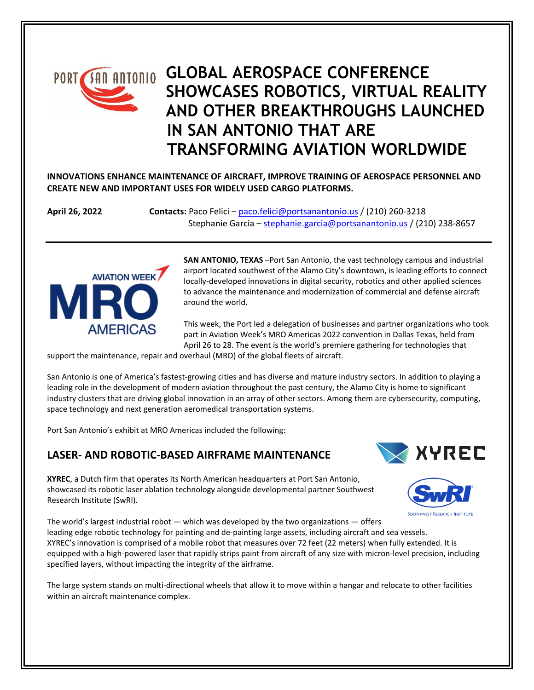# **GLOBAL AEROSPACE CONFERENCE PORT SHOWCASES ROBOTICS, VIRTUAL REALITY AND OTHER BREAKTHROUGHS LAUNCHED IN SAN ANTONIO THAT ARE TRANSFORMING AVIATION WORLDWIDE**

**INNOVATIONS ENHANCE MAINTENANCE OF AIRCRAFT, IMPROVE TRAINING OF AEROSPACE PERSONNEL AND CREATE NEW AND IMPORTANT USES FOR WIDELY USED CARGO PLATFORMS.**

**April 26, 2022 Contacts:** Paco Felici – [paco.felici@portsanantonio.us](mailto:paco.felici@portsanantonio.us) / (210) 260-3218 Stephanie Garcia – [stephanie.garcia@portsanantonio.us](mailto:stephanie.garcia@portsanantonio.us) / (210) 238-8657



**SAN ANTONIO, TEXAS** –Port San Antonio, the vast technology campus and industrial airport located southwest of the Alamo City's downtown, is leading efforts to connect locally-developed innovations in digital security, robotics and other applied sciences to advance the maintenance and modernization of commercial and defense aircraft around the world.

This week, the Port led a delegation of businesses and partner organizations who took part in Aviation Week's MRO Americas 2022 convention in Dallas Texas, held from April 26 to 28. The event is the world's premiere gathering for technologies that

support the maintenance, repair and overhaul (MRO) of the global fleets of aircraft.

San Antonio is one of America's fastest-growing cities and has diverse and mature industry sectors. In addition to playing a leading role in the development of modern aviation throughout the past century, the Alamo City is home to significant industry clusters that are driving global innovation in an array of other sectors. Among them are cybersecurity, computing, space technology and next generation aeromedical transportation systems.

Port San Antonio's exhibit at MRO Americas included the following:

### **LASER- AND ROBOTIC-BASED AIRFRAME MAINTENANCE**

**XYREC** 

**XYREC**, a Dutch firm that operates its North American headquarters at Port San Antonio, showcased its robotic laser ablation technology alongside developmental partner Southwest Research Institute (SwRI).



The world's largest industrial robot — which was developed by the two organizations — offers leading edge robotic technology for painting and de-painting large assets, including aircraft and sea vessels. XYREC's innovation is comprised of a mobile robot that measures over 72 feet (22 meters) when fully extended. It is equipped with a high-powered laser that rapidly strips paint from aircraft of any size with micron-level precision, including specified layers, without impacting the integrity of the airframe.

The large system stands on multi-directional wheels that allow it to move within a hangar and relocate to other facilities within an aircraft maintenance complex.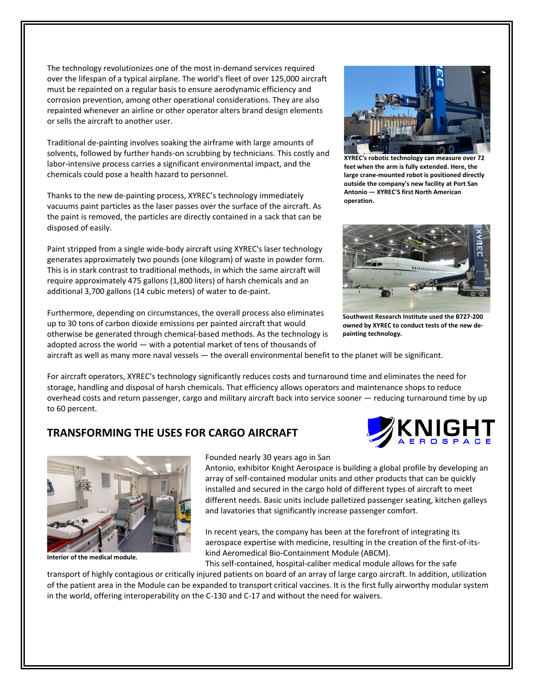The technology revolutionizes one of the most in-demand services required over the lifespan of a typical airplane. The world's fleet of over 125,000 aircraft must be repainted on a regular basis to ensure aerodynamic efficiency and corrosion prevention, among other operational considerations. They are also repainted whenever an airline or other operator alters brand design elements or sells the aircraft to another user.

Traditional de-painting involves soaking the airframe with large amounts of solvents, followed by further hands-on scrubbing by technicians. This costly and labor-intensive process carries a significant environmental impact, and the chemicals could pose a health hazard to personnel.

Thanks to the new de-painting process, XYREC's technology immediately vacuums paint particles as the laser passes over the surface of the aircraft. As the paint is removed, the particles are directly contained in a sack that can be disposed of easily.

Paint stripped from a single wide-body aircraft using XYREC's laser technology generates approximately two pounds (one kilogram) of waste in powder form. This is in stark contrast to traditional methods, in which the same aircraft will require approximately 475 gallons (1,800 liters) of harsh chemicals and an additional 3,700 gallons (14 cubic meters) of water to de-paint.

Furthermore, depending on circumstances, the overall process also eliminates up to 30 tons of carbon dioxide emissions per painted aircraft that would otherwise be generated through chemical-based methods. As the technology is adopted across the world — with a potential market of tens of thousands of



**XYREC's robotic technology can measure over 72 feet when the arm is fully extended. Here, the large crane-mounted robot is positioned directly outside the company's new facility at Port San Antonio — XYREC'S first North American operation.**



**Southwest Research Institute used the B727-200 owned by XYREC to conduct tests of the new depainting technology.**

aircraft as well as many more naval vessels — the overall environmental benefit to the planet will be significant.

For aircraft operators, XYREC's technology significantly reduces costs and turnaround time and eliminates the need for storage, handling and disposal of harsh chemicals. That efficiency allows operators and maintenance shops to reduce overhead costs and return passenger, cargo and military aircraft back into service sooner — reducing turnaround time by up to 60 percent.

### **TRANSFORMING THE USES FOR CARGO AIRCRAFT**

in the world, offering interoperability on the C-130 and C-17 and without the need for waivers.





**Interior of the medical module.**

#### Founded nearly 30 years ago in San

Antonio, exhibitor Knight Aerospace is building a global profile by developing an array of self-contained modular units and other products that can be quickly installed and secured in the cargo hold of different types of aircraft to meet different needs. Basic units include palletized passenger seating, kitchen galleys and lavatories that significantly increase passenger comfort.

In recent years, the company has been at the forefront of integrating its aerospace expertise with medicine, resulting in the creation of the first-of-itskind Aeromedical Bio-Containment Module (ABCM).

This self-contained, hospital-caliber medical module allows for the safe transport of highly contagious or critically injured patients on board of an array of large cargo aircraft. In addition, utilization of the patient area in the Module can be expanded to transport critical vaccines. It is the first fully airworthy modular system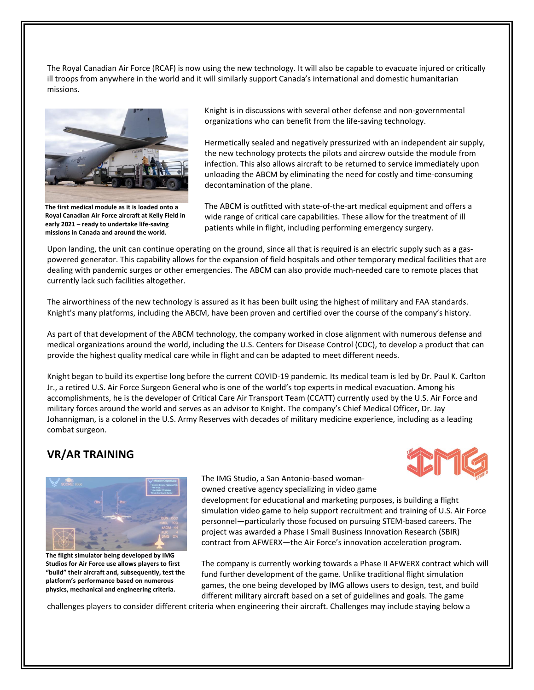The Royal Canadian Air Force (RCAF) is now using the new technology. It will also be capable to evacuate injured or critically ill troops from anywhere in the world and it will similarly support Canada's international and domestic humanitarian missions.



**The first medical module as it is loaded onto a Royal Canadian Air Force aircraft at Kelly Field in early 2021 – ready to undertake life-saving missions in Canada and around the world.**

Knight is in discussions with several other defense and non-governmental organizations who can benefit from the life-saving technology.

Hermetically sealed and negatively pressurized with an independent air supply, the new technology protects the pilots and aircrew outside the module from infection. This also allows aircraft to be returned to service immediately upon unloading the ABCM by eliminating the need for costly and time-consuming decontamination of the plane.

The ABCM is outfitted with state-of-the-art medical equipment and offers a wide range of critical care capabilities. These allow for the treatment of ill patients while in flight, including performing emergency surgery.

Upon landing, the unit can continue operating on the ground, since all that is required is an electric supply such as a gaspowered generator. This capability allows for the expansion of field hospitals and other temporary medical facilities that are dealing with pandemic surges or other emergencies. The ABCM can also provide much-needed care to remote places that currently lack such facilities altogether.

The airworthiness of the new technology is assured as it has been built using the highest of military and FAA standards. Knight's many platforms, including the ABCM, have been proven and certified over the course of the company's history.

As part of that development of the ABCM technology, the company worked in close alignment with numerous defense and medical organizations around the world, including the U.S. Centers for Disease Control (CDC), to develop a product that can provide the highest quality medical care while in flight and can be adapted to meet different needs.

Knight began to build its expertise long before the current COVID-19 pandemic. Its medical team is led by Dr. Paul K. Carlton Jr., a retired U.S. Air Force Surgeon General who is one of the world's top experts in medical evacuation. Among his accomplishments, he is the developer of Critical Care Air Transport Team (CCATT) currently used by the U.S. Air Force and military forces around the world and serves as an advisor to Knight. The company's Chief Medical Officer, Dr. Jay Johannigman, is a colonel in the U.S. Army Reserves with decades of military medicine experience, including as a leading combat surgeon.

## **VR/AR TRAINING**





**The flight simulator being developed by IMG Studios for Air Force use allows players to first "build" their aircraft and, subsequently, test the platform's performance based on numerous physics, mechanical and engineering criteria.**

The IMG Studio, a San Antonio-based womanowned creative agency specializing in video game

development for educational and marketing purposes, is building a flight simulation video game to help support recruitment and training of U.S. Air Force personnel—particularly those focused on pursuing STEM-based careers. The project was awarded a Phase I Small Business Innovation Research (SBIR) contract from AFWERX—the Air Force's innovation acceleration program.

The company is currently working towards a Phase II AFWERX contract which will fund further development of the game. Unlike traditional flight simulation games, the one being developed by IMG allows users to design, test, and build different military aircraft based on a set of guidelines and goals. The game

challenges players to consider different criteria when engineering their aircraft. Challenges may include staying below a